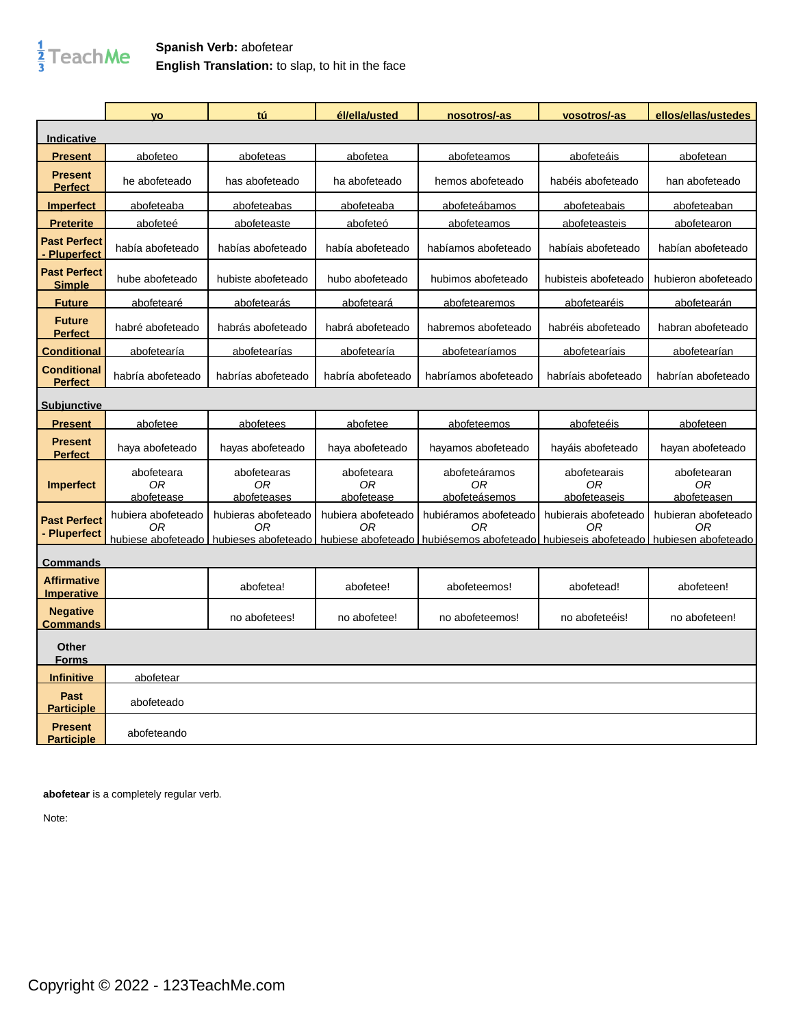

## **Spanish Verb:** abofetear **English Translation:** to slap, to hit in the face

|                                          | <b>VO</b>                      | tú                               | él/ella/usted                  | nosotros/-as                                                                                                                                                      | vosotros/-as                       | ellos/ellas/ustedes              |
|------------------------------------------|--------------------------------|----------------------------------|--------------------------------|-------------------------------------------------------------------------------------------------------------------------------------------------------------------|------------------------------------|----------------------------------|
| <u>Indicative</u>                        |                                |                                  |                                |                                                                                                                                                                   |                                    |                                  |
| <u>Present</u>                           | abofeteo                       | abofeteas                        | abofetea                       | abofeteamos                                                                                                                                                       | abofeteáis                         | abofetean                        |
| <b>Present</b><br><b>Perfect</b>         | he abofeteado                  | has abofeteado                   | ha abofeteado                  | hemos abofeteado                                                                                                                                                  | habéis abofeteado                  | han abofeteado                   |
| <b>Imperfect</b>                         | abofeteaba                     | abofeteabas                      | abofeteaba                     | abofeteábamos                                                                                                                                                     | abofeteabais                       | abofeteaban                      |
| <b>Preterite</b>                         | abofeteé                       | abofeteaste                      | abofeteó                       | abofeteamos                                                                                                                                                       | abofeteasteis                      | abofetearon                      |
| <b>Past Perfect</b><br><b>Pluperfect</b> | había abofeteado               | habías abofeteado                | había abofeteado               | habíamos abofeteado                                                                                                                                               | habíais abofeteado                 | habían abofeteado                |
| <b>Past Perfect</b><br><b>Simple</b>     | hube abofeteado                | hubiste abofeteado               | hubo abofeteado                | hubimos abofeteado                                                                                                                                                | hubisteis abofeteado               | hubieron abofeteado              |
| <b>Future</b>                            | abofetearé                     | abofetearás                      | abofeteará                     | abofetearemos                                                                                                                                                     | abofetearéis                       | abofetearán                      |
| <b>Future</b><br><b>Perfect</b>          | habré abofeteado               | habrás abofeteado                | habrá abofeteado               | habremos abofeteado                                                                                                                                               | habréis abofeteado                 | habran abofeteado                |
| <b>Conditional</b>                       | abofetearía                    | abofetearías                     | abofetearía                    | abofetearíamos                                                                                                                                                    | abofetearíais                      | abofetearían                     |
| <b>Conditional</b><br><b>Perfect</b>     | habría abofeteado              | habrías abofeteado               | habría abofeteado              | habríamos abofeteado                                                                                                                                              | habríais abofeteado                | habrían abofeteado               |
| <b>Subjunctive</b>                       |                                |                                  |                                |                                                                                                                                                                   |                                    |                                  |
| <b>Present</b>                           | abofetee                       | abofetees                        | abofetee                       | abofeteemos                                                                                                                                                       | abofeteéis                         | abofeteen                        |
| <b>Present</b><br><b>Perfect</b>         | haya abofeteado                | hayas abofeteado                 | haya abofeteado                | hayamos abofeteado                                                                                                                                                | hayáis abofeteado                  | hayan abofeteado                 |
| <b>Imperfect</b>                         | abofeteara<br>0R<br>abofetease | abofetearas<br>0R<br>abofeteases | abofeteara<br>0R<br>abofetease | abofeteáramos<br>0 <sub>R</sub><br>abofeteásemos                                                                                                                  | abofetearais<br>0R<br>abofeteaseis | abofetearan<br>0R<br>abofeteasen |
| <b>Past Perfect</b><br>- Pluperfect      | hubiera abofeteado<br>ОR       | hubieras abofeteado<br>OR        | hubiera abofeteado<br>0R       | hubiéramos abofeteado<br>ОR<br>hubiese abofeteado I hubieses abofeteado I hubiese abofeteado I hubiésemos abofeteado I hubieseis abofeteado I hubiesen abofeteado | hubierais abofeteado<br>0R         | hubieran abofeteado<br>0R        |
| <u>Commands</u>                          |                                |                                  |                                |                                                                                                                                                                   |                                    |                                  |
| <b>Affirmative</b><br>Imperative         |                                | abofetea!                        | abofetee!                      | abofeteemos!                                                                                                                                                      | abofetead!                         | abofeteen!                       |
| <b>Negative</b><br><b>Commands</b>       |                                | no abofetees!                    | no abofetee!                   | no abofeteemos!                                                                                                                                                   | no abofeteéis!                     | no abofeteen!                    |
| <b>Other</b><br><b>Forms</b>             |                                |                                  |                                |                                                                                                                                                                   |                                    |                                  |
| <u>Infinitive</u>                        | <u>abofetear</u>               |                                  |                                |                                                                                                                                                                   |                                    |                                  |
| Past<br><b>Participle</b>                | abofeteado                     |                                  |                                |                                                                                                                                                                   |                                    |                                  |
| <b>Present</b><br><u>Participle</u>      | abofeteando                    |                                  |                                |                                                                                                                                                                   |                                    |                                  |

**abofetear** is a completely regular verb.

Note: